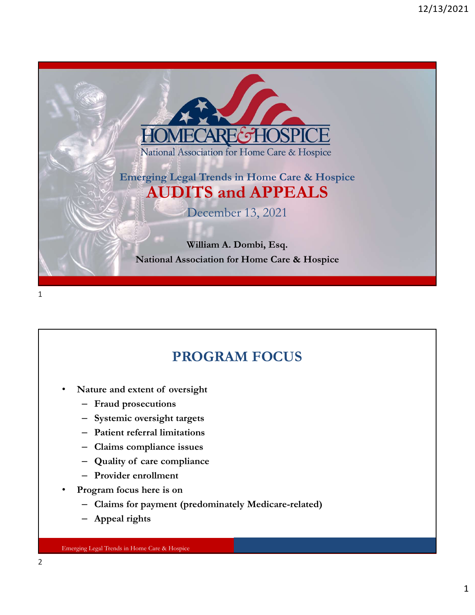

### PROGRAM FOCUS

- -
	-
	-
	-
	-
	-
- -
	-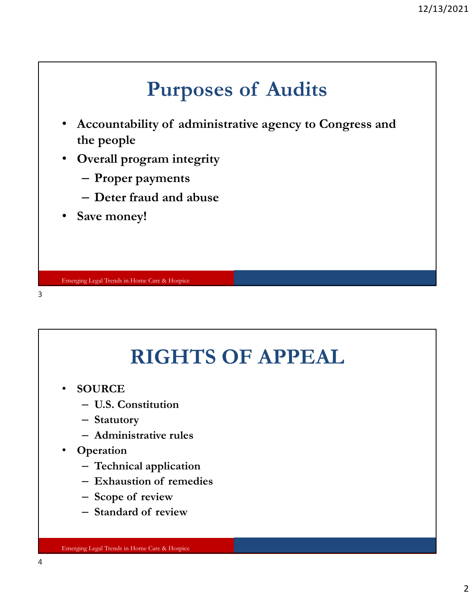- 12/13/2021<br>Purposes of Audits<br>ity of administrative agency to Congress and • Accountability of administrative agency to Congress and<br>
• Accountability of administrative agency to Congress and<br>
• Overall program integrity<br>
– Proper payments the people
- Overall program integrity
	- Proper payments
	- Deter fraud and abuse
- Save money!

3

## RIGHTS OF APPEAL **RIGHTS OF APPEAL**<br>
OURCE<br>
— U.S. Constitution<br>
— Statutory<br>
— Administrative rules<br>
Dperation<br>
— Technical application<br>
— Exhaustion of remedies<br>
— Scope of review<br>
— Standard of review **RIGHTS OF APPEAL**<br>
OURCE<br>
– U.S. Constitution<br>
– Statutory<br>
– Administrative rules<br>
Dperation<br>
– Technical application<br>
– Exhaustion of remedies<br>
– Scope of review<br>
– Standard of review<br>
– Standard of review

- **SOURCE** 
	- U.S. Constitution
	- Statutory
	- Administrative rules
- **Operation** 
	- Technical application
	-
	-
	-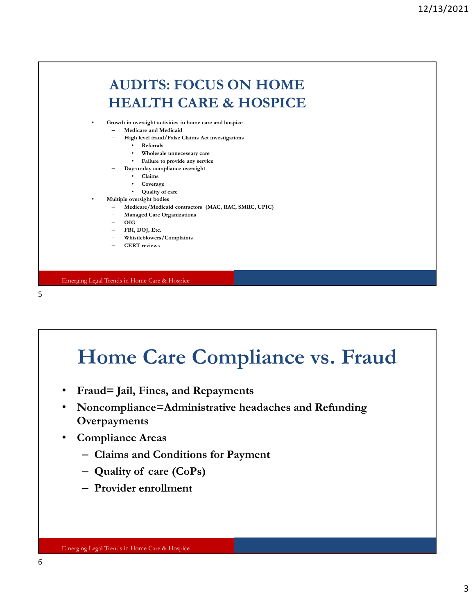

 $5<sub>5</sub>$ 

# Home Care Compliance vs. Fraud Home Care Compliance vs. Fraud<br>
Fraud= Jail, Fines, and Repayments<br>
Noncompliance=Administrative headaches and Refunding<br>
Dverpayments<br>
- Olaims and Conditions for Payment<br>
- Quality of care (CoPs)<br>
- Provider enrollment

- Fraud= Jail, Fines, and Repayments
- Noncompliance=Administrative headaches and Refunding **Overpayments**
- Compliance Areas
	- Claims and Conditions for Payment
	-
	-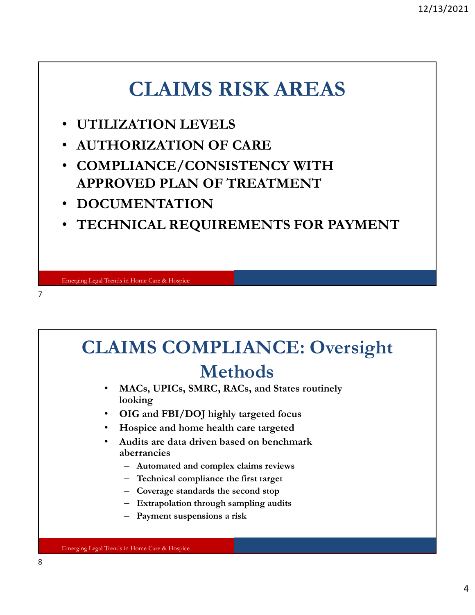### CLAIMS RISK AREAS

- UTILIZATION LEVELS
- AUTHORIZATION OF CARE
- COMPLIANCE/CONSISTENCY WITH APPROVED PLAN OF TREATMENT
- DOCUMENTATION
- TECHNICAL REQUIREMENTS FOR PAYMENT

7

### CLAIMS COMPLIANCE: Oversight Methods • MACs, UPICs, SMRC, RACs, and States routinely

- looking
- OIG and FBI/DOJ highly targeted focus
- Hospice and home health care targeted
- Audits are data driven based on benchmark aberrancies
	- Automated and complex claims reviews
	- Technical compliance the first target
	- Coverage standards the second stop
	- Extrapolation through sampling audits
	- Payment suspensions a risk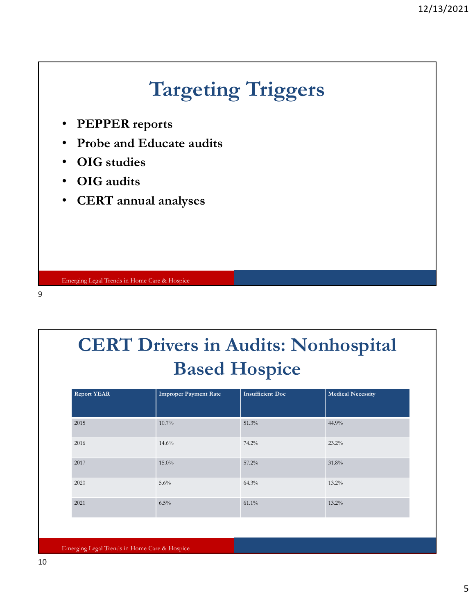

| <b>CERT Drivers in Audits: Nonhospital</b><br><b>Based Hospice</b> |                              |                         |                          |
|--------------------------------------------------------------------|------------------------------|-------------------------|--------------------------|
| <b>Report YEAR</b>                                                 | <b>Improper Payment Rate</b> | <b>Insufficient Doc</b> | <b>Medical Necessity</b> |
| 2015                                                               | 10.7%                        | 51.3%                   | 44.9%                    |
| 2016                                                               | 14.6%                        | 74.2%                   | 23.2%                    |
| 2017                                                               | $15.0\%$                     | $57.2\%$                | 31.8%                    |
|                                                                    | 5.6%                         | 64.3%                   | $13.2\%$                 |
| 2020                                                               |                              |                         |                          |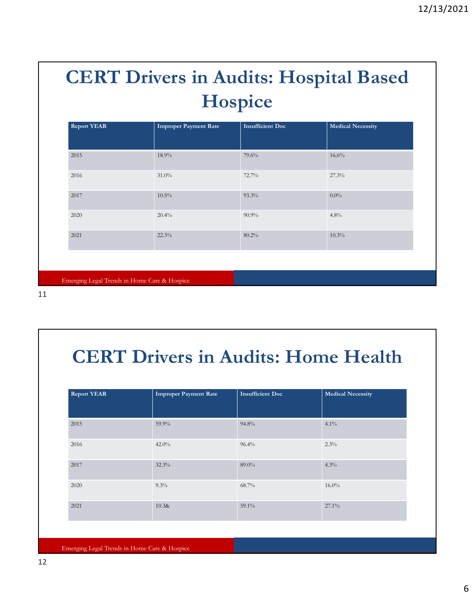### CERT Drivers in Audits: Hospital Based Hospice

| <b>CERT Drivers in Audits: Hospital Based</b><br>Hospice |                                              |                         |                          |  |  |  |
|----------------------------------------------------------|----------------------------------------------|-------------------------|--------------------------|--|--|--|
| <b>Report YEAR</b>                                       | <b>Improper Payment Rate</b>                 | <b>Insufficient Doc</b> | <b>Medical Necessity</b> |  |  |  |
| 2015                                                     | 18.9%                                        | 79.6%                   | 16.6%                    |  |  |  |
| 2016                                                     | $31.0\%$                                     | 72.7%                   | 27.3%                    |  |  |  |
| 2017                                                     | $10.5\%$                                     | 93.3%                   | $0.0\%$                  |  |  |  |
| 2020                                                     | 20.4%                                        | $90.9\%$                | 4.8%                     |  |  |  |
| 2021                                                     | 22.3%                                        | 80.2%                   | 10.3%                    |  |  |  |
|                                                          | Emerging Legal Trends in Home Care & Hospice |                         |                          |  |  |  |
|                                                          |                                              |                         |                          |  |  |  |
|                                                          |                                              |                         |                          |  |  |  |

11

### CERT Drivers in Audits: Home Health

| 2021                                         | 22.3%                                        | 80.2%                   | 10.3%                    |
|----------------------------------------------|----------------------------------------------|-------------------------|--------------------------|
|                                              |                                              |                         |                          |
|                                              | Emerging Legal Trends in Home Care & Hospice |                         |                          |
|                                              |                                              |                         |                          |
|                                              |                                              |                         |                          |
|                                              |                                              |                         |                          |
|                                              | <b>CERT Drivers in Audits: Home Health</b>   |                         |                          |
|                                              |                                              |                         |                          |
|                                              |                                              |                         |                          |
| <b>Report YEAR</b>                           | <b>Improper Payment Rate</b>                 | <b>Insufficient Doc</b> | <b>Medical Necessity</b> |
|                                              |                                              |                         |                          |
| 2015                                         | 59.9%                                        | 94.8%                   | $4.1\%$                  |
| 2016                                         | 42.0%                                        | 96.4%                   | $2.3\%$                  |
| 2017                                         | 32.3%                                        | 89.0%                   | 4.3%                     |
|                                              |                                              |                         |                          |
| 2020                                         | $9.3\%$                                      | 68.7%                   | $16.0\%$                 |
| 2021                                         | 10.38x                                       | 59.1%                   | 27.1%                    |
|                                              |                                              |                         |                          |
|                                              |                                              |                         |                          |
| Emerging Legal Trends in Home Care & Hospice |                                              |                         |                          |
|                                              |                                              |                         |                          |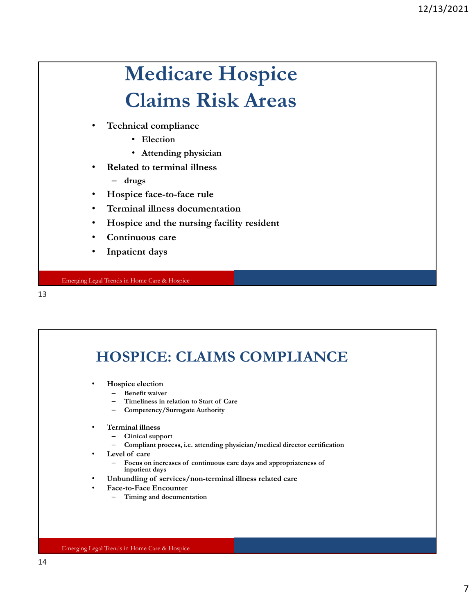### Medicare Hospice Claims Risk Areas

- Technical compliance
	- Election
	- Attending physician
- Related to terminal illness
	- drugs
- Hospice face-to-face rule
- Terminal illness documentation
- Hospice and the nursing facility resident
- Continuous care
- Inpatient days

Emerging Legal Trends in Home Care & Hospice

13

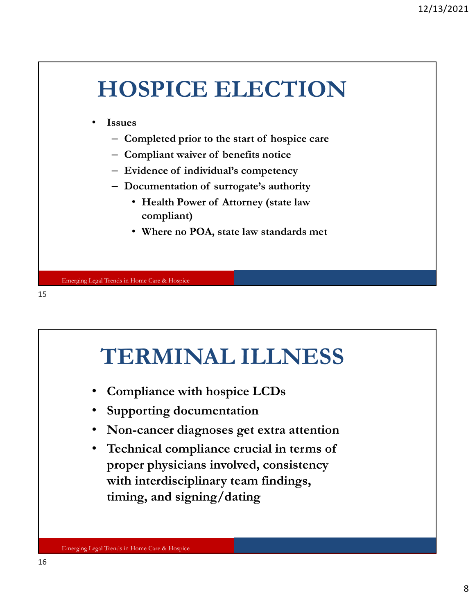



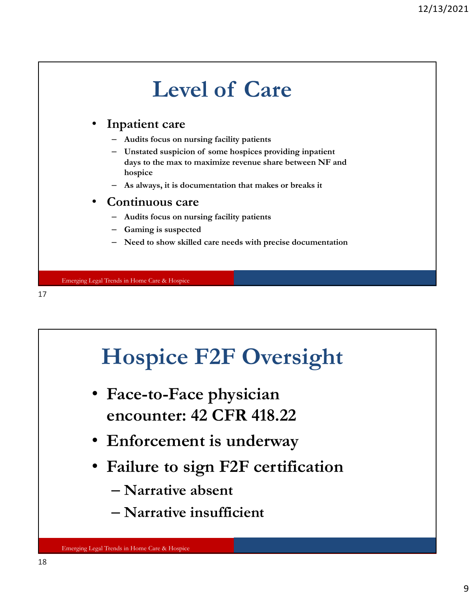



– Narrative insufficient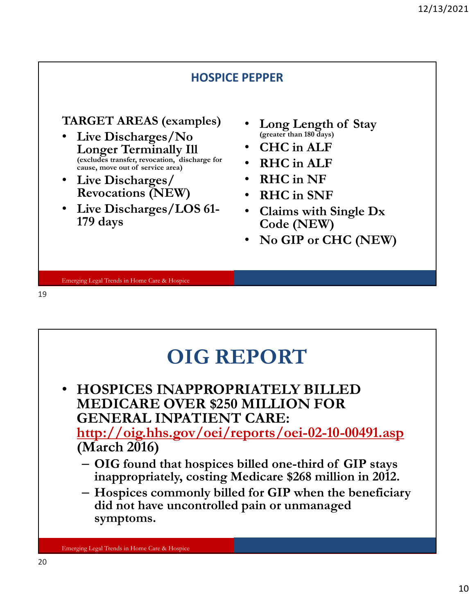

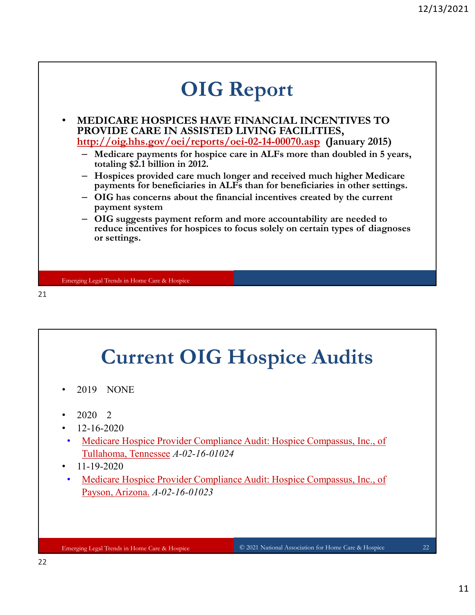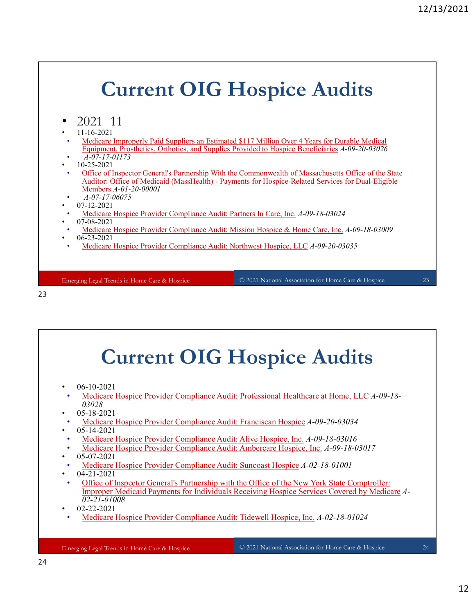### Emerging Legal Trends in Home Care & Hospice Current OIG Hospice Audits • 2021 11 • 11-16-2021 • Medicare Improperly Paid Suppliers an Estimated \$117 Million Over 4 Years for Durable Medical Equipment, Prosthetics, Orthotics, and Supplies Provided to Hospice Beneficiaries A-09-20-03026 • A-07-17-01173 • 10-25-2021 Office of Inspector General's Partnership With the Commonwealth of Massachusetts Office of the State Auditor: Office of Medicaid (MassHealth) - Payments for Hospice-Related Services for Dual-Eligible **Current OIG Hospice Audits**<br>
(021 11)<br>
14-16-2021<br>
14-16-2021<br>
14-16-2021<br>
Medican Improperly Paid Suppliers an Estimated S117 Million Over 4 Years for Durable Medical<br>
<u>Requirement, Prosibletics, Orthotics, and Supplies</u> Members A-01-20-00001  $\overline{A-07-17}$ -06075 • 07-12-2021 • Medicare Hospice Provider Compliance Audit: Partners In Care, Inc. A-09-18-03024 • 07-08-2021 • Medicare Hospice Provider Compliance Audit: Mission Hospice & Home Care, Inc. A-09-18-03009 • 06-23-2021 • Medicare Hospice Provider Compliance Audit: Northwest Hospice, LLC A-09-20-03035 © 2021 National Association for Home Care & Hospice 23

### 23

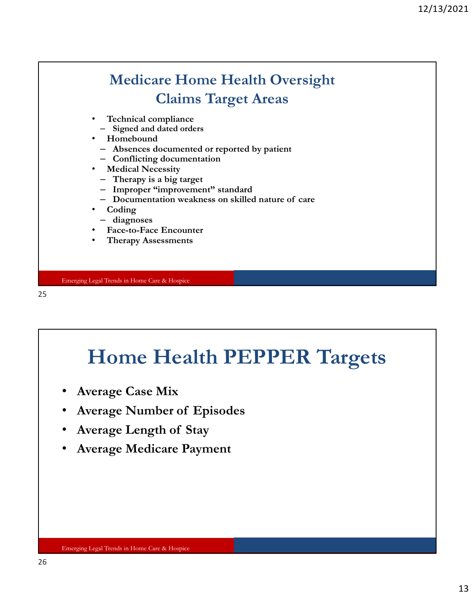### Medicare Home Health Oversight Claims Target Areas Medicare Home Health Oversight<br>
Claims Target Areas<br>
Technical compliance<br>
- Signed and dated orders<br>
Homebound<br>
- Conflicting documentation<br>
- Chances is big target<br>
- Therapy is a big target<br>
- Improper "improvement" sta

- Technical compliance
- Signed and dated orders
- Homebound
	- Absences documented or reported by patient
	- Conflicting documentation
- Medical Necessity
	- Therapy is a big target
	- Improper "improvement" standard
	-
- Coding
- diagnoses
- Face-to-Face Encounter
- Therapy Assessments

Emerging Legal Trends in Home Care & Hospice

25

## Home Health PEPPER Targets • Face-to-Face Encounter<br>• Face-to-Face Encounter<br>• Therapy Assessments<br>**Encoing Legal Tread in Home Care & Horpice**<br>• Average Case Mix<br>• Average Number of Episodes<br>• Average Length of Stay<br>• Average Length of Stay<br>• Avera • Average Length nikome Care & Hoppics<br>• Average Case Mix<br>• Average Case Mix<br>• Average Number of Episodes<br>• Average Length of Stay<br>• Average Medicare Payment

- Average Case Mix
- 
- 
-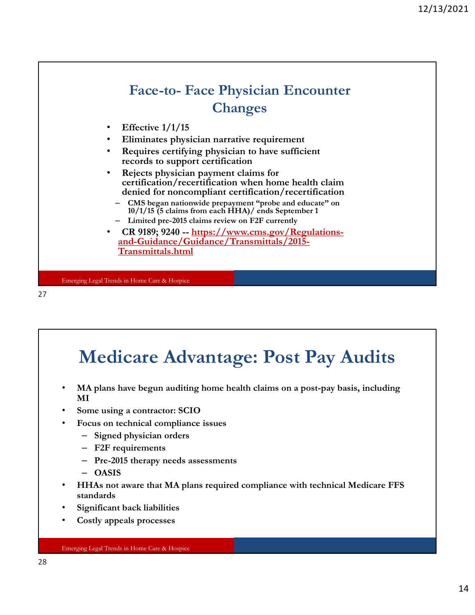

### Medicare Advantage: Post Pay Audits • MA plans have begun auditing home health claims on a post-pay basis, including MI Some using a contractor: SCIO • Focus on technical compliance issues – Signed physician orders – F2F requirements – Pre-2015 therapy needs assessments – OASIS • HHAs not aware that MA plans required compliance with technical Medicare FFS standards

- Significant back liabilities
- Costly appeals processes

### Emerging Legal Trends in Home Care & Hospice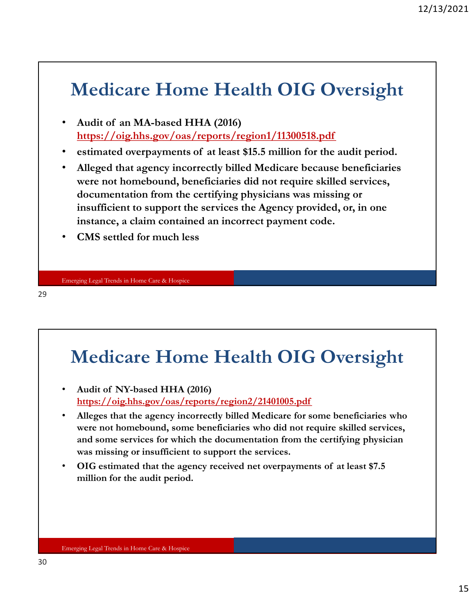### Medicare Home Health OIG Oversight

- https://oig.hhs.gov/oas/reports/region1/11300518.pdf
- 
- Medicare Home Health OIG Overs<br>• Audit of an MA-based HHA (2016)<br>• https://oig.hhs.gov/oas/reports/region1/11300518.pdf<br>• estimated overpayments of at least \$15.5 million for the audit p<br>• Alleged that agency incorrectly b <sup>12/13/202</sup><br>
• Audit of an MA-based HHA (2016)<br>
• Audit of an MA-based HHA (2016)<br>
• https://oig.hhs.gov/oas/reports/region1/11300518.pdf<br>
• estimated overpayments of at least \$15.5 million for the audit period.<br>
• Alleged were not homebound, beneficiaries did not require skilled services, documentation from the certifying physicians was missing or insufficient to support the services the Agency provided, or, in one instance, a claim contained an incorrect payment code.
- CMS settled for much less

29

### Medicare Home Health OIG Oversight

- https://oig.hhs.gov/oas/reports/region2/21401005.pdf
- insufficient to support the services the Agency provided, or, in<br>instance, a claim contained an incorrect payment code.<br>• CMS settled for much less<br><br>• CMS settled for much less<br><br>• Audit of NY-based HHA (2016)<br>• Audit of NY Alleges that the agency incorrectly billed Medicare for some beneficiaries who were not homebound, some beneficiaries who did not require skilled services, and some services for which the documentation from the certifying physician was missing or insufficient to support the services. Ensemington Translation Hemis Care & Hospics<br>
• Audit of NY-based HHA (2016)<br>
• Audit of NY-based HHA (2016)<br>
• Alleges that the agency incorrectly billed Medicare for some beneficiaries who<br>
• Alleges that the agency inco
- million for the audit period.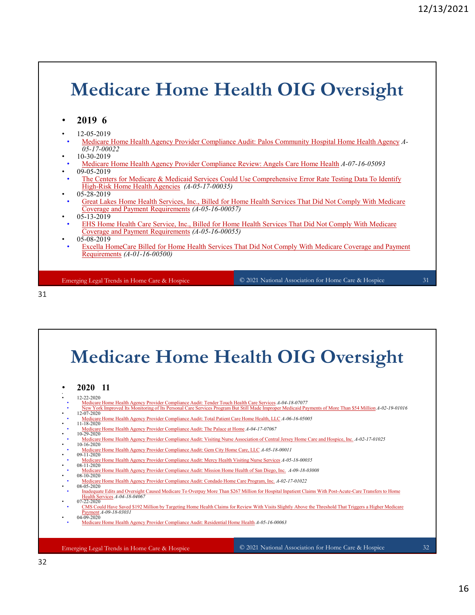# Medicare Home Health OIG Oversight **Medicare Home Health OIG Ove:**<br>
• 2019 6<br>
• 12-05-2019<br>
• <u>Medicare Home Health Agency Provider Compliance Audit: Palos Community Hospital Home<br>
• 05-17-200022<br>
• <u>Medicare Home Health Agency Provider Compliance Review: </u></u> **Medicare Home Health OIG Oversight**<br>
<sup>12.05.2019<br>
<sup>12.05.2019<br>
<sup>12.05.2019</sup><br> **Medicare Home Health Agency Provider** Compliance Audit: Pales Community Hospital Home Health Agency 4-05-06.2019<br>
<sup>1</sup> Medicare Them Health Age</sup></sup>

|  | 2019 | 6 |
|--|------|---|
|--|------|---|

- 12-05-2019
- Medicare Home Health Agency Provider Compliance Audit: Palos Community Hospital Home Health Agency A-05-17-00022
- 10-30-2019
- Medicare Home Health Agency Provider Compliance Review: Angels Care Home Health A-07-16-05093
- 09-05-2019
- The Centers for Medicare & Medicaid Services Could Use Comprehensive Error Rate Testing Data To Identify High-Risk Home Health Agencies (A-05-17-00035)
- 05-28-2019
- Great Lakes Home Health Services, Inc., Billed for Home Health Services That Did Not Comply With Medicare Coverage and Payment Requirements (A-05-16-00057)
- 05-13-2019
- EHS Home Health Care Service, Inc., Billed for Home Health Services That Did Not Comply With Medicare Coverage and Payment Requirements (A-05-16-00055)
- 
- 05-08-2019<br>Excella HomeCare Billed for Home Health Services That Did Not Comply With Medicare Coverage and Payment Requirements (A-01-16-00500)

Emerging Legal Trends in Home Care & Hospice

© 2021 National Association for Home Care & Hospice 31



### Medicare Home Health OIG Oversight • Caral Lakes Home Health Agencies (*A*-05-17-00035)<br>
• Great Lakes Home Health Services, Inc., Billed for Home Health Services That Did Not Comply<br>
• Coverage and Payment Requirements (*A-05-16-00035)*<br>
• EHS Home Health • Contrage and Payment Requirements (4-05-16-00057)<br>
• ELIS Hone Health Care Service, Inc. Billed for Home Health Services That Did Not Comply With Medicare Coverage and Payment<br>
• Secolus Home Care Stilled for Home Health **Medicare Home Home Home Home Health Agency Provider Compliance Audit: The Department Association Care Provider Complete Audit: Compliance Audit: The Department Complete Audit: Compliance Audit: The Department Complete Co**

- 
- 12-22-2020
- 12-22-2020<br>• Medicare Home Health Agency Provider Compliance Audit: Tender Touch Health Care Services A-04-18-07077
- 
- 12-07-2020<br>• Medicare Home Health Agency Provider Compliance Audit: Total Patient Care Home Health, LLC *A-06-16-05005*<br>• 11-18-2020
- 11-18-2020<br>
<u>Medicare Home Health Agency Provider Compliance Audit: The Palace at Home A-04-17-07067</u><br>
10-29-2020
- 10-29-2020<br>• Medicare Home Health Agency Provider Compliance Audit: Visiting Nurse Association of Central Jersey Home Care and Hospice, Inc. A-02-17-01025
- 10-16-2020 • Medicare Home Health Agency Provider Compliance Audit: Gem City Home Care, LLC A-05-18-00011
- 09-11-2020<br>• Medicare Home Health Agency Provider Compliance Audit: Mercy Health Visiting Nurse Services A-05-18-00035
- 08-11-2020<br>• Medicare Home Health Agency Provider Compliance Audit: Mission Home Health of San Diego, Inc. 4-09-18-03008
- 08-10-2020
- 
- 08-05-2020 • Inadequate Edits and Oversight Caused Medicare To Overpay More Than \$267 Million for Hospital Inpatient Claims With Post-Acute-Care Transfers to Home<br>• Health Services A-04-18-04067<br>• 07-22-2020
- CMS Could Have Saved \$192 Million by Targeting Home Health Claims for Review With Visits Slightly Above the Threshold That Triggers a Higher Medicare Payment A-09-18-03031  $04 - 09 - 2020$
- Medicare Home Health Agency Provider Compliance Audit: Residential Home Health A-05-16-00063

Emerging Legal Trends in Home Care & Hospice

© 2021 National Association for Home Care & Hospice 32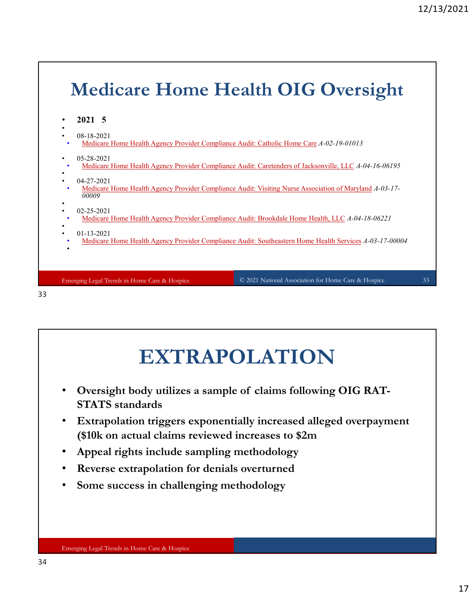

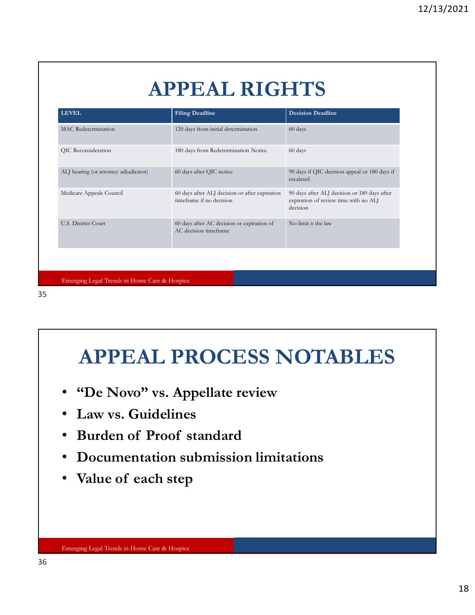### APPEAL RIGHTS

|                                              | <b>APPEAL RIGHTS</b>                                                       |                                                                                                   |
|----------------------------------------------|----------------------------------------------------------------------------|---------------------------------------------------------------------------------------------------|
| <b>LEVEL</b>                                 | <b>Filing Deadline</b>                                                     | <b>Decision Deadline</b>                                                                          |
| MAC Redetermination                          | 120 days from initial determination                                        | 60 days                                                                                           |
| QIC Reconsideration                          | 180 days from Redetermination Notice                                       | 60 days                                                                                           |
| ALJ hearing (or attorney adjudicator)        | 60 days after QIC notice                                                   | 90 days if QIC decision appeal or 180 days if<br>escalated                                        |
| Medicare Appeals Council                     | 60 days after ALJ decision or after expiration<br>timeframe if no decision | 90 days after ALJ decision or 180 days after<br>expiration of review time with no ALJ<br>decision |
| U.S. District Court                          | 60 days after AC decision or expiration of<br>AC decision timeframe        | No limit n the law                                                                                |
| Emerging Legal Trends in Home Care & Hospice | <b>APPEAL PROCESS NOTABLES</b>                                             |                                                                                                   |

35

# APPEAL PROCESS NOTABLES **APPEAL PROCESS NOTABLE**<br>• "De Novo" vs. Appellate review<br>• Law vs. Guidelines<br>• Burden of Proof standard<br>• Documentation submission limitations<br>• Value of each step

- "De Novo" vs. Appellate review
- Law vs. Guidelines
- 
- Documentation submission limitations
-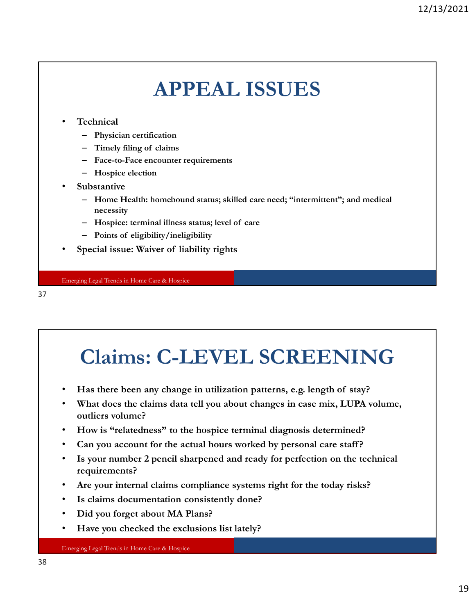### APPEAL ISSUES

### **Technical**

- Physician certification
- 
- 
- 
- **Substantive**
- Fractional<br>
Fechnical<br>
 Physician certification<br>
 Timely filing of claims<br>
 Face-to-Face encounter requirements<br>
 Hospice election<br>
Ubstantive<br>
 Home Health: homebound status; skilled care need; "intermittent"; and me – Home Health: homebound status; skilled care need; "intermittent"; and medical necessity (CRE)<br>
Fechnical<br>
– Physician certification<br>
– Timely fling of claims<br>
– Tace-to-Face encounter requirements<br>
– Hospice clection<br>
ubstantive<br>
– Hospice: terminal illness status; level of care<br>
– Points of eligibility/ineli **APPEAL ISSUES**<br>
• Technical<br>
– Physician certification<br>
– Timely filing of claims<br>
– Face-to-Pace encounter requirements<br>
– Hospice election<br>
• Substantive<br>
– Hospice: terminal illness status; level of care<br>
– Points of e
	-
	-
- 

Emerging Legal Trends in Home Care & Hospice

37

## Claims: C-LEVEL SCREENING − Home Health: homebound status; skilled care need; "intermittent"; and medical<br>
− Hospice: terminal illness status; level of care<br>
− Points of eligibility/ineligibility<br>
• Special issue: Waiver of Hability rights<br>
• **Claims: C-LEVEL SCREENING**<br>• Has there been any change in utilization patterns, e.g. length of stay?<br>• What does the claims data tell you about changes in case mix, LUPA volume,<br>outliers volume?<br>• How is "relatedness" to

- 
- What does the claims data tell you about changes in case mix, LUPA volume, outliers volume?
- How is "relatedness" to the hospice terminal diagnosis determined?
- 
- Is your number 2 pencil sharpened and ready for perfection on the technical requirements?
- Are your internal claims compliance systems right for the today risks?
- Is claims documentation consistently done?
- Did you forget about MA Plans?
- Have you checked the exclusions list lately?

Emerging Legal Trends in Home Care & Hospice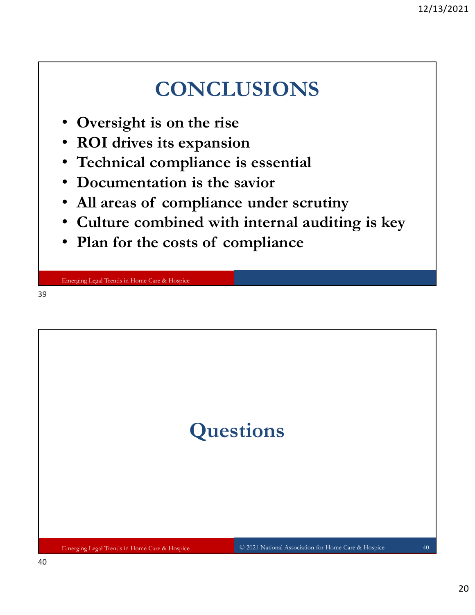### **CONCLUSIONS**

- Oversight is on the rise
- ROI drives its expansion
- Technical compliance is essential
- Documentation is the savior
- 
- **CONCLUSIONS**<br>• Oversight is on the rise<br>• ROI drives its expansion<br>• Technical compliance is essential<br>• Documentation is the savior<br>• All areas of compliance under scrutiny<br>• Culture combined with internal auditing is ke • Culture combined with internal auditing is key CONCLUSIONS<br>• Oversight is on the rise<br>• ROI drives its expansion<br>• Technical compliance is essential<br>• Documentation is the savior<br>• All areas of compliance under scrutiny<br>• Culture combined with internal auditing is key<br>
- 

Emerging Legal Trends in Home Care & Hospice

39